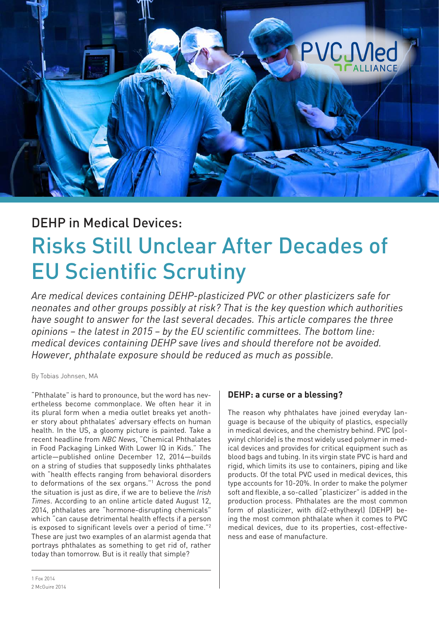

# DEHP in Medical Devices: Risks Still Unclear After Decades of EU Scientific Scrutiny

*Are medical devices containing DEHP-plasticized PVC or other plasticizers safe for neonates and other groups possibly at risk? That is the key question which authorities have sought to answer for the last several decades. This article compares the three opinions – the latest in 2015 – by the EU scientific committees. The bottom line: medical devices containing DEHP save lives and should therefore not be avoided. However, phthalate exposure should be reduced as much as possible.*

By Tobias Johnsen, MA

"Phthalate" is hard to pronounce, but the word has nevertheless become commonplace. We often hear it in its plural form when a media outlet breaks yet another story about phthalates' adversary effects on human health. In the US, a gloomy picture is painted. Take a recent headline from *NBC News*, "Chemical Phthalates in Food Packaging Linked With Lower IQ in Kids." The article—published online December 12, 2014—builds on a string of studies that supposedly links phthalates with "health effects ranging from behavioral disorders to deformations of the sex organs."<sup>1</sup> Across the pond the situation is just as dire, if we are to believe the *Irish Times*. According to an online article dated August 12, 2014, phthalates are "hormone-disrupting chemicals" which "can cause detrimental health effects if a person is exposed to significant levels over a period of time."<sup>2</sup> These are just two examples of an alarmist agenda that portrays phthalates as something to get rid of, rather today than tomorrow. But is it really that simple?

# **DEHP: a curse or a blessing?**

The reason why phthalates have joined everyday language is because of the ubiquity of plastics, especially in medical devices, and the chemistry behind. PVC (polyvinyl chloride) is the most widely used polymer in medical devices and provides for critical equipment such as blood bags and tubing. In its virgin state PVC is hard and rigid, which limits its use to containers, piping and like products. Of the total PVC used in medical devices, this type accounts for 10-20%. In order to make the polymer soft and flexible, a so-called "plasticizer" is added in the production process. Phthalates are the most common form of plasticizer, with di(2-ethylhexyl) (DEHP) being the most common phthalate when it comes to PVC medical devices, due to its properties, cost-effectiveness and ease of manufacture.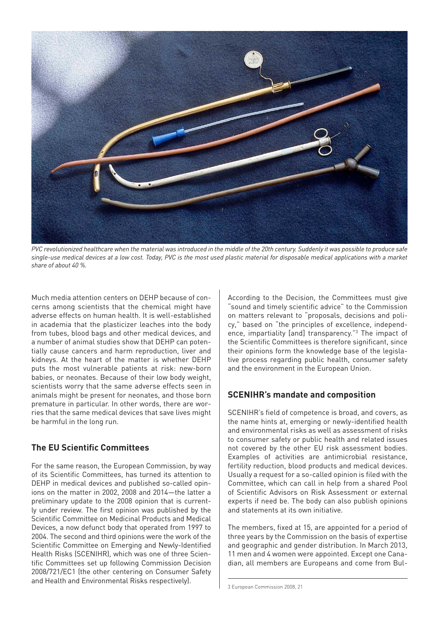

*PVC revolutionized healthcare when the material was introduced in the middle of the 20th century. Suddenly it was possible to produce safe single-use medical devices at a low cost. Today, PVC is the most used plastic material for disposable medical applications with a market share of about 40 %.*

Much media attention centers on DEHP because of concerns among scientists that the chemical might have adverse effects on human health. It is well-established in academia that the plasticizer leaches into the body from tubes, blood bags and other medical devices, and a number of animal studies show that DEHP can potentially cause cancers and harm reproduction, liver and kidneys. At the heart of the matter is whether DEHP puts the most vulnerable patients at risk: new-born babies, or neonates. Because of their low body weight, scientists worry that the same adverse effects seen in animals might be present for neonates, and those born premature in particular. In other words, there are worries that the same medical devices that save lives might be harmful in the long run.

# **The EU Scientific Committees**

For the same reason, the European Commission, by way of its Scientific Committees, has turned its attention to DEHP in medical devices and published so-called opinions on the matter in 2002, 2008 and 2014—the latter a preliminary update to the 2008 opinion that is currently under review. The first opinion was published by the Scientific Committee on Medicinal Products and Medical Devices, a now defunct body that operated from 1997 to 2004. The second and third opinions were the work of the Scientific Committee on Emerging and Newly-Identified Health Risks (SCENIHR), which was one of three Scientific Committees set up following Commission Decision 2008/721/EC1 (the other centering on Consumer Safety and Health and Environmental Risks respectively).

According to the Decision, the Committees must give "sound and timely scientific advice" to the Commission on matters relevant to "proposals, decisions and policy," based on "the principles of excellence, independence, impartiality [and] transparency."<sup>3</sup> The impact of the Scientific Committees is therefore significant, since their opinions form the knowledge base of the legislative process regarding public health, consumer safety and the environment in the European Union.

# **SCENIHR's mandate and composition**

SCENIHR's field of competence is broad, and covers, as the name hints at, emerging or newly-identified health and environmental risks as well as assessment of risks to consumer safety or public health and related issues not covered by the other EU risk assessment bodies. Examples of activities are antimicrobial resistance, fertility reduction, blood products and medical devices. Usually a request for a so-called opinion is filed with the Committee, which can call in help from a shared Pool of Scientific Advisors on Risk Assessment or external experts if need be. The body can also publish opinions and statements at its own initiative.

The members, fixed at 15, are appointed for a period of three years by the Commission on the basis of expertise and geographic and gender distribution. In March 2013, 11 men and 4 women were appointed. Except one Canadian, all members are Europeans and come from Bul-

<sup>3</sup> European Commission 2008, 21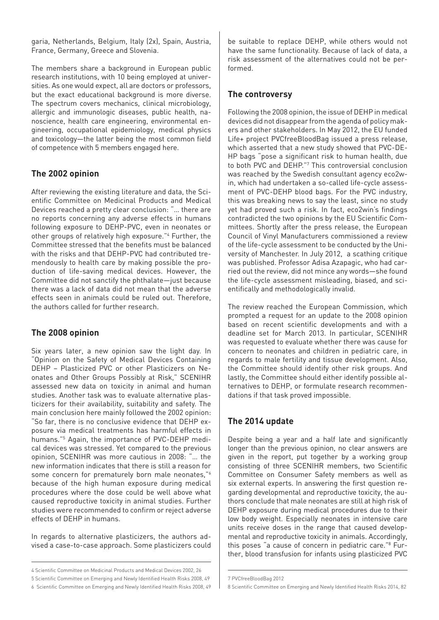garia, Netherlands, Belgium, Italy (2x), Spain, Austria, France, Germany, Greece and Slovenia.

The members share a background in European public research institutions, with 10 being employed at universities. As one would expect, all are doctors or professors, but the exact educational background is more diverse. The spectrum covers mechanics, clinical microbiology, allergic and immunologic diseases, public health, nanoscience, health care engineering, environmental engineering, occupational epidemiology, medical physics and toxicology—the latter being the most common field of competence with 5 members engaged here.

## **The 2002 opinion**

After reviewing the existing literature and data, the Scientific Committee on Medicinal Products and Medical Devices reached a pretty clear conclusion: "… there are no reports concerning any adverse effects in humans following exposure to DEHP-PVC, even in neonates or other groups of relatively high exposure."<sup>4</sup> Further, the Committee stressed that the benefits must be balanced with the risks and that DEHP-PVC had contributed tremendously to health care by making possible the production of life-saving medical devices. However, the Committee did not sanctify the phthalate—just because there was a lack of data did not mean that the adverse effects seen in animals could be ruled out. Therefore, the authors called for further research.

# **The 2008 opinion**

Six years later, a new opinion saw the light day. In "Opinion on the Safety of Medical Devices Containing DEHP – Plasticized PVC or other Plasticizers on Neonates and Other Groups Possibly at Risk," SCENIHR assessed new data on toxicity in animal and human studies. Another task was to evaluate alternative plasticizers for their availability, suitability and safety. The main conclusion here mainly followed the 2002 opinion: "So far, there is no conclusive evidence that DEHP exposure via medical treatments has harmful effects in humans."<sup>5</sup> Again, the importance of PVC-DEHP medical devices was stressed. Yet compared to the previous opinion, SCENIHR was more cautious in 2008: "… the new information indicates that there is still a reason for some concern for prematurely born male neonates,"<sup>6</sup> because of the high human exposure during medical procedures where the dose could be well above what caused reproductive toxicity in animal studies. Further studies were recommended to confirm or reject adverse effects of DEHP in humans.

In regards to alternative plasticizers, the authors advised a case-to-case approach. Some plasticizers could

6 Scientific Committee on Emerging and Newly Identified Health Risks 2008, 49

be suitable to replace DEHP, while others would not have the same functionality. Because of lack of data, a risk assessment of the alternatives could not be performed.

#### **The controversy**

Following the 2008 opinion, the issue of DEHP in medical devices did not disappear from the agenda of policy makers and other stakeholders. In May 2012, the EU funded Life+ project PVCfreeBloodBag issued a press release, which asserted that a new study showed that PVC-DE-HP bags "pose a significant risk to human health, due to both PVC and DEHP."<sup>7</sup> This controversial conclusion was reached by the Swedish consultant agency eco2win, which had undertaken a so-called life-cycle assessment of PVC-DEHP blood bags. For the PVC industry, this was breaking news to say the least, since no study yet had proved such a risk. In fact, eco2win's findings contradicted the two opinions by the EU Scientific Committees. Shortly after the press release, the European Council of Vinyl Manufacturers commissioned a review of the life-cycle assessment to be conducted by the University of Manchester. In July 2012, a scathing critique was published. Professor Adisa Azapagic, who had carried out the review, did not mince any words—she found the life-cycle assessment misleading, biased, and scientifically and methodologically invalid.

The review reached the European Commission, which prompted a request for an update to the 2008 opinion based on recent scientific developments and with a deadline set for March 2013. In particular, SCENIHR was requested to evaluate whether there was cause for concern to neonates and children in pediatric care, in regards to male fertility and tissue development. Also, the Committee should identify other risk groups. And lastly, the Committee should either identify possible alternatives to DEHP, or formulate research recommendations if that task proved impossible.

### **The 2014 update**

Despite being a year and a half late and significantly longer than the previous opinion, no clear answers are given in the report, put together by a working group consisting of three SCENIHR members, two Scientific Committee on Consumer Safety members as well as six external experts. In answering the first question regarding developmental and reproductive toxicity, the authors conclude that male neonates are still at high risk of DEHP exposure during medical procedures due to their low body weight. Especially neonates in intensive care units receive doses in the range that caused developmental and reproductive toxicity in animals. Accordingly, this poses "a cause of concern in pediatric care."<sup>8</sup> Further, blood transfusion for infants using plasticized PVC

<sup>4</sup> Scientific Committee on Medicinal Products and Medical Devices 2002, 26

<sup>5</sup> Scientific Committee on Emerging and Newly Identified Health Risks 2008, 49

<sup>7</sup> PVCfreeBloodBag 2012

<sup>8</sup> Scientific Committee on Emerging and Newly Identified Health Risks 2014, 82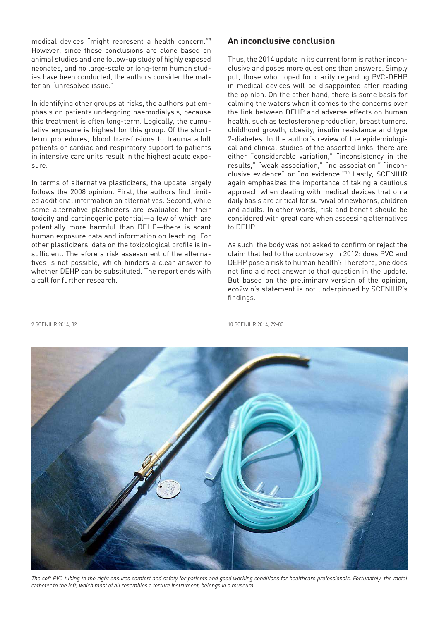medical devices "might represent a health concern."<sup>9</sup> However, since these conclusions are alone based on animal studies and one follow-up study of highly exposed neonates, and no large-scale or long-term human studies have been conducted, the authors consider the matter an "unresolved issue."

In identifying other groups at risks, the authors put emphasis on patients undergoing haemodialysis, because this treatment is often long-term. Logically, the cumulative exposure is highest for this group. Of the shortterm procedures, blood transfusions to trauma adult patients or cardiac and respiratory support to patients in intensive care units result in the highest acute exposure.

In terms of alternative plasticizers, the update largely follows the 2008 opinion. First, the authors find limited additional information on alternatives. Second, while some alternative plasticizers are evaluated for their toxicity and carcinogenic potential—a few of which are potentially more harmful than DEHP—there is scant human exposure data and information on leaching. For other plasticizers, data on the toxicological profile is insufficient. Therefore a risk assessment of the alternatives is not possible, which hinders a clear answer to whether DEHP can be substituted. The report ends with a call for further research.

# **An inconclusive conclusion**

Thus, the 2014 update in its current form is rather inconclusive and poses more questions than answers. Simply put, those who hoped for clarity regarding PVC-DEHP in medical devices will be disappointed after reading the opinion. On the other hand, there is some basis for calming the waters when it comes to the concerns over the link between DEHP and adverse effects on human health, such as testosterone production, breast tumors, childhood growth, obesity, insulin resistance and type 2-diabetes. In the author's review of the epidemiological and clinical studies of the asserted links, there are either "considerable variation," "inconsistency in the results," "weak association," "no association," "inconclusive evidence" or "no evidence."<sup>10</sup> Lastly, SCENIHR again emphasizes the importance of taking a cautious approach when dealing with medical devices that on a daily basis are critical for survival of newborns, children and adults. In other words, risk and benefit should be considered with great care when assessing alternatives to DEHP.

As such, the body was not asked to confirm or reject the claim that led to the controversy in 2012: does PVC and DEHP pose a risk to human health? Therefore, one does not find a direct answer to that question in the update. But based on the preliminary version of the opinion, eco2win's statement is not underpinned by SCENIHR's findings.

9 SCENIHR 2014, 82

10 SCENIHR 2014, 79-80



The soft PVC tubing to the right ensures comfort and safety for patients and good working conditions for healthcare professionals. Fortunately, the metal *catheter to the left, which most of all resembles a torture instrument, belongs in a museum.*